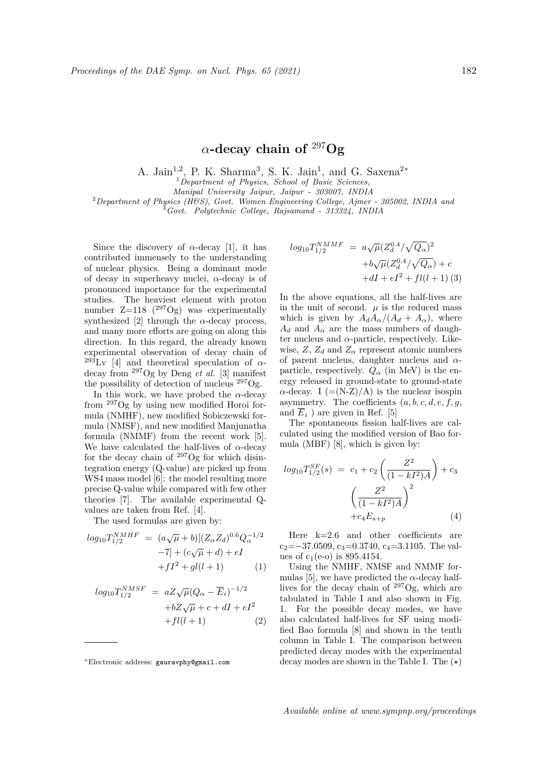## *α***-decay chain of** <sup>297</sup>**Og**

A. Jain<sup>1,2</sup>, P. K. Sharma<sup>3</sup>, S. K. Jain<sup>1</sup>, and G. Saxena<sup>2</sup><sup>\*</sup>

<sup>1</sup>*Department of Physics, School of Basic Sciences,*

*Manipal University Jaipur, Jaipur - 303007, INDIA*

<sup>2</sup>*Department of Physics (H&S), Govt. Women Engineering College, Ajmer - 305002, INDIA and*

<sup>3</sup>*Govt. Polytechnic College, Rajsamand - 313324, INDIA*

Since the discovery of  $\alpha$ -decay [1], it has contributed immensely to the understanding of nuclear physics. Being a dominant mode of decay in superheavy nuclei, *α*-decay is of pronounced importance for the experimental studies. The heaviest element with proton number  $Z=118$  (<sup>297</sup>Og) was experimentally synthesized [2] through the  $\alpha$ -decay process, and many more efforts are going on along this direction. In this regard, the already known experimental observation of decay chain of  $^{293}$ Lv [4] and theoretical speculation of  $\alpha$ decay from <sup>297</sup>Og by Deng *et al.* [3] manifest the possibility of detection of nucleus <sup>297</sup>Og.

In this work, we have probed the  $\alpha$ -decay from <sup>297</sup>Og by using new modified Horoi formula (NMHF), new modified Sobiczewski formula (NMSF), and new modified Manjunatha formula (NMMF) from the recent work [5]. We have calculated the half-lives of *α*-decay for the decay chain of  $^{297}$ Og for which disintegration energy (Q-value) are picked up from WS4 mass model [6]: the model resulting more precise Q-value while compared with few other theories [7]. The available experimental Qvalues are taken from Ref. [4].

The used formulas are given by:

$$
log_{10}T_{1/2}^{NMHF} = (a\sqrt{\mu} + b)[(Z_{\alpha}Z_{d})^{0.6}Q_{\alpha}^{-1/2} -7] + (c\sqrt{\mu} + d) + eI + fI^{2} + gl(l+1)
$$
 (1)

$$
log_{10}T_{1/2}^{NMSF} = aZ\sqrt{\mu}(Q_{\alpha} - \overline{E}_i)^{-1/2}
$$

$$
+bZ\sqrt{\mu} + c + dI + eI^2
$$

$$
+fl(l+1)
$$
 (2)

$$
log_{10}T_{1/2}^{NMMF} = a\sqrt{\mu}(Z_d^{0.4}/\sqrt{Q_{\alpha}})^2
$$
  
+ $b\sqrt{\mu}(Z_d^{0.4}/\sqrt{Q_{\alpha}}) + c$   
+ $dI + eI^2 + fl(l+1)$  (3)

In the above equations, all the half-lives are in the unit of second.  $\mu$  is the reduced mass which is given by  $A_dA_\alpha/(A_d + A_\alpha)$ , where  $A_d$  and  $A_\alpha$  are the mass numbers of daughter nucleus and  $\alpha$ -particle, respectively. Likewise,  $Z$ ,  $Z_d$  and  $Z_\alpha$  represent atomic numbers of parent nucleus, daughter nucleus and *α*particle, respectively.  $Q_{\alpha}$  (in MeV) is the energy released in ground-state to ground-state *α*-decay. I  $(=(N-Z)/A)$  is the nuclear isospin asymmetry. The coefficients  $(a, b, c, d, e, f, g, f)$ and  $\overline{E}_i$  ) are given in Ref. [5]

The spontaneous fission half-lives are calculated using the modified version of Bao formula (MBF) [8], which is given by:

$$
log_{10}T_{1/2}^{SF}(s) = c_1 + c_2 \left(\frac{Z^2}{(1 - kI^2)A}\right) + c_3
$$

$$
\left(\frac{Z^2}{(1 - kI^2)A}\right)^2 + c_4 E_{s+p}
$$
(4)

Here k=2.6 and other coefficients are c<sub>2</sub>=−37.0509, c<sub>3</sub>=0.3740, c<sub>4</sub>=3.1105. The values of  $c_1(e-0)$  is 895.4154.

Using the NMHF, NMSF and NMMF formulas [5], we have predicted the  $\alpha$ -decay halflives for the decay chain of <sup>297</sup>Og, which are tabulated in Table I and also shown in Fig. 1. For the possible decay modes, we have also calculated half-lives for SF using modified Bao formula [8] and shown in the tenth column in Table I. The comparison between predicted decay modes with the experimental decay modes are shown in the Table I. The (*⋆*)

*<sup>∗</sup>*Electronic address: gauravphy@gmail.com